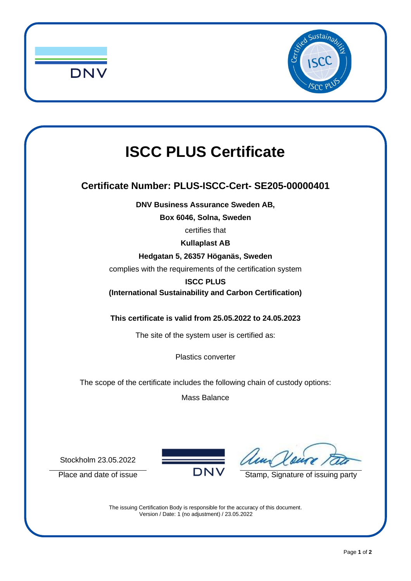



## **ISCC PLUS Certificate**

## **Certificate Number: PLUS-ISCC-Cert- SE205-00000401**

**DNV Business Assurance Sweden AB,**

**Box 6046, Solna, Sweden**

certifies that

**Kullaplast AB**

**Hedgatan 5, 26357 Höganäs, Sweden**

complies with the requirements of the certification system

**ISCC PLUS**

**(International Sustainability and Carbon Certification)**

**This certificate is valid from 25.05.2022 to 24.05.2023**

The site of the system user is certified as:

Plastics converter

The scope of the certificate includes the following chain of custody options:

Mass Balance

Stockholm 23.05.2022



Place and date of issue  $\overline{D}N\overline{V}$  Stamp, Signature of issuing party

The issuing Certification Body is responsible for the accuracy of this document. Version / Date: 1 (no adjustment) / 23.05.2022